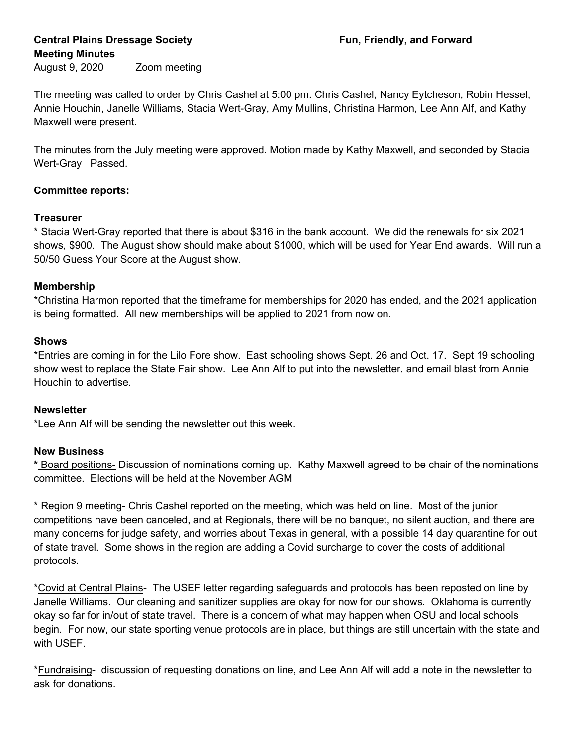# Central Plains Dressage Society **Fundally**, and Forward Meeting Minutes

August 9, 2020 Zoom meeting

The meeting was called to order by Chris Cashel at 5:00 pm. Chris Cashel, Nancy Eytcheson, Robin Hessel, Annie Houchin, Janelle Williams, Stacia Wert-Gray, Amy Mullins, Christina Harmon, Lee Ann Alf, and Kathy Maxwell were present.

The minutes from the July meeting were approved. Motion made by Kathy Maxwell, and seconded by Stacia Wert-Gray Passed.

## Committee reports:

### **Treasurer**

\* Stacia Wert-Gray reported that there is about \$316 in the bank account. We did the renewals for six 2021 shows, \$900. The August show should make about \$1000, which will be used for Year End awards. Will run a 50/50 Guess Your Score at the August show.

### Membership

\*Christina Harmon reported that the timeframe for memberships for 2020 has ended, and the 2021 application is being formatted. All new memberships will be applied to 2021 from now on.

### **Shows**

\*Entries are coming in for the Lilo Fore show. East schooling shows Sept. 26 and Oct. 17. Sept 19 schooling show west to replace the State Fair show. Lee Ann Alf to put into the newsletter, and email blast from Annie Houchin to advertise.

### **Newsletter**

\*Lee Ann Alf will be sending the newsletter out this week.

#### New Business

\* Board positions- Discussion of nominations coming up. Kathy Maxwell agreed to be chair of the nominations committee. Elections will be held at the November AGM

\* Region 9 meeting- Chris Cashel reported on the meeting, which was held on line. Most of the junior competitions have been canceled, and at Regionals, there will be no banquet, no silent auction, and there are many concerns for judge safety, and worries about Texas in general, with a possible 14 day quarantine for out of state travel. Some shows in the region are adding a Covid surcharge to cover the costs of additional protocols.

\*Covid at Central Plains- The USEF letter regarding safeguards and protocols has been reposted on line by Janelle Williams. Our cleaning and sanitizer supplies are okay for now for our shows. Oklahoma is currently okay so far for in/out of state travel. There is a concern of what may happen when OSU and local schools begin. For now, our state sporting venue protocols are in place, but things are still uncertain with the state and with USEF.

\*Fundraising- discussion of requesting donations on line, and Lee Ann Alf will add a note in the newsletter to ask for donations.